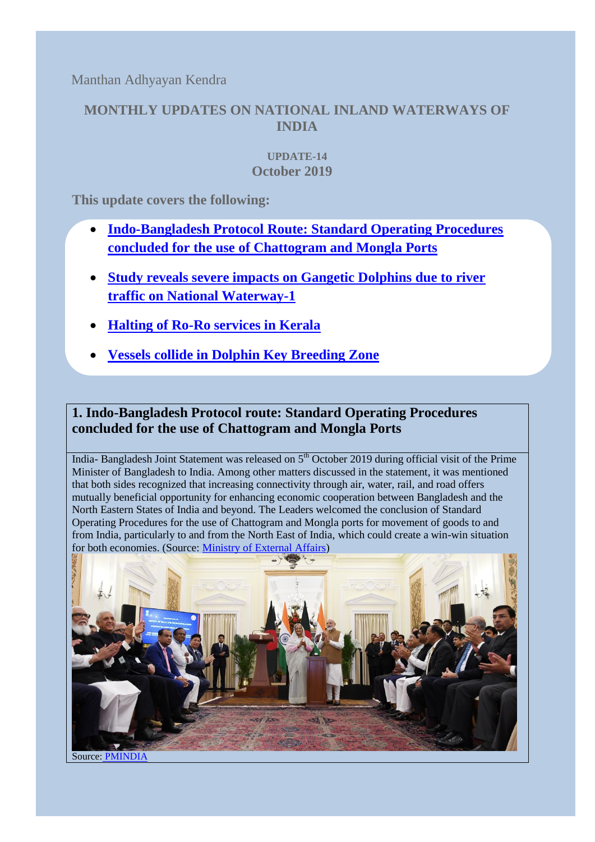Manthan Adhyayan Kendra

## **MONTHLY UPDATES ON NATIONAL INLAND WATERWAYS OF INDIA**

#### **UPDATE-14 October 2019**

**This update covers the following:**

- **[Indo-Bangladesh Protocol Route:](#page-0-0) Standard Operating Procedures [concluded for the use of Chattogram and Mongla Ports](#page-0-0)**
- **[Study reveals severe impacts on Gangetic Dolphins due to river](#page-1-0)  traffic on [National Waterway-1](#page-1-0)**
- **[Halting of Ro-Ro services in Kerala](#page-1-1)**
- **[Vessels collide in Dolphin Key Breeding Zone](#page-2-0)**

# <span id="page-0-0"></span>**1. Indo-Bangladesh Protocol route: Standard Operating Procedures concluded for the use of Chattogram and Mongla Ports**

India- Bangladesh Joint Statement was released on 5<sup>th</sup> October 2019 during official visit of the Prime Minister of Bangladesh to India. Among other matters discussed in the statement, it was mentioned that both sides recognized that increasing connectivity through air, water, rail, and road offers mutually beneficial opportunity for enhancing economic cooperation between Bangladesh and the North Eastern States of India and beyond. The Leaders welcomed the conclusion of Standard Operating Procedures for the use of Chattogram and Mongla ports for movement of goods to and from India, particularly to and from the North East of India, which could create a win-win situation for both economies. (Source: [Ministry of External Affairs\)](https://mea.gov.in/bilateral-documents.htm?dtl/31911/IndiaBangladesh+Joint+Statement+during+Official+Visit+of+Prime+Minister+of+Bangladesh+to+India)



Source: [PMINDIA](https://www.pmindia.gov.in/en/news_updates/india-bangladesh-joint-statement-during-official-visit-of-pm-of-bangladesh-to-india/)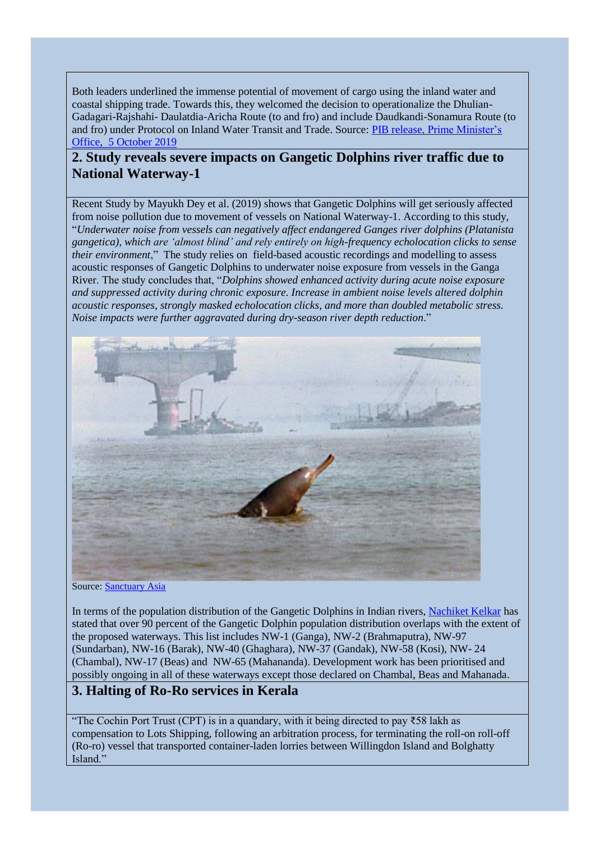Both leaders underlined the immense potential of movement of cargo using the inland water and coastal shipping trade. Towards this, they welcomed the decision to operationalize the Dhulian-Gadagari-Rajshahi- Daulatdia-Aricha Route (to and fro) and include Daudkandi-Sonamura Route (to and fro) under Protocol on Inland Water Transit and Trade. Source: [PIB release, Prime Minister's](https://pib.gov.in/Pressreleaseshare.aspx?PRID=1587295)  Office, 5 [October 2019](https://pib.gov.in/Pressreleaseshare.aspx?PRID=1587295)

### <span id="page-1-0"></span>**2. Study reveals severe impacts on Gangetic Dolphins river traffic due to National Waterway-1**

Recent Study by Mayukh Dey et al. (2019) shows that Gangetic Dolphins will get seriously affected from noise pollution due to movement of vessels on National Waterway-1. According to this study, "*Underwater noise from vessels can negatively affect endangered Ganges river dolphins (Platanista gangetica), which are 'almost blind' and rely entirely on high-frequency echolocation clicks to sense their environment*," The study relies on field-based acoustic recordings and modelling to assess acoustic responses of Gangetic Dolphins to underwater noise exposure from vessels in the Ganga River. The study concludes that, "*Dolphins showed enhanced activity during acute noise exposure and suppressed activity during chronic exposure. Increase in ambient noise levels altered dolphin acoustic responses, strongly masked echolocation clicks, and more than doubled metabolic stress. Noise impacts were further aggravated during dry-season river depth reduction*."



Source: [Sanctuary Asia](https://www.sanctuaryasia.com/magazines/conservation/10561-a-river-dolphins-ear-view-of-indias-waterways-development-plans.html)

In terms of the population distribution of the Gangetic Dolphins in Indian rivers, [Nachiket Kelkar](https://www.sanctuaryasia.com/magazines/conservation/10561-a-river-dolphins-ear-view-of-indias-waterways-development-plans.html) has stated that over 90 percent of the Gangetic Dolphin population distribution overlaps with the extent of the proposed waterways. This list includes NW-1 (Ganga), NW-2 (Brahmaputra), NW-97 (Sundarban), NW-16 (Barak), NW-40 (Ghaghara), NW-37 (Gandak), NW-58 (Kosi), NW- 24 (Chambal), NW-17 (Beas) and NW-65 (Mahananda). Development work has been prioritised and possibly ongoing in all of these waterways except those declared on Chambal, Beas and Mahanada.

#### <span id="page-1-1"></span>**3. Halting of Ro-Ro services in Kerala**

"The Cochin Port Trust (CPT) is in a quandary, with it being directed to pay  $\overline{558}$  lakh as compensation to Lots Shipping, following an arbitration process, for terminating the roll-on roll-off (Ro-ro) vessel that transported container-laden lorries between Willingdon Island and Bolghatty Island."